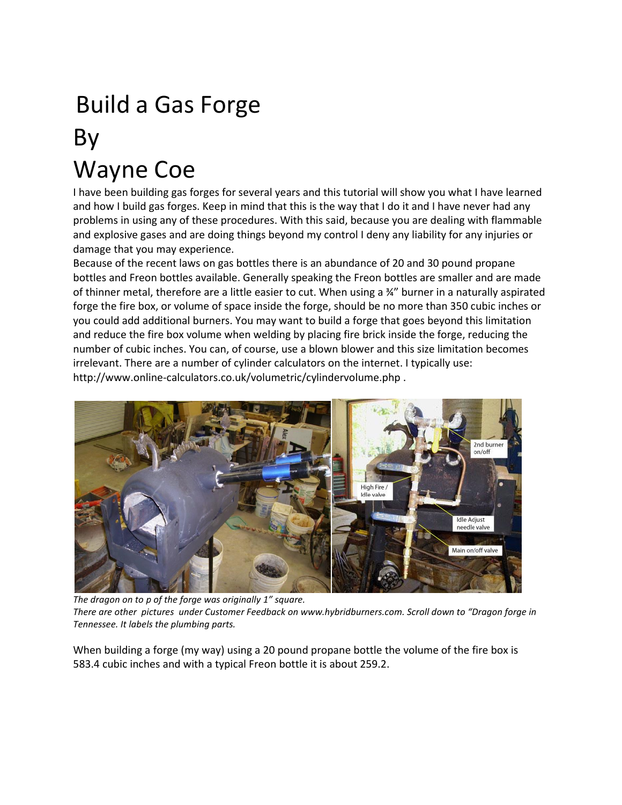## Build a Gas Forge By Wayne Coe

I have been building gas forges for several years and this tutorial will show you what I have learned and how I build gas forges. Keep in mind that this is the way that I do it and I have never had any problems in using any of these procedures. With this said, because you are dealing with flammable and explosive gases and are doing things beyond my control I deny any liability for any injuries or damage that you may experience.

Because of the recent laws on gas bottles there is an abundance of 20 and 30 pound propane bottles and Freon bottles available. Generally speaking the Freon bottles are smaller and are made of thinner metal, therefore are a little easier to cut. When using a ¾" burner in a naturally aspirated forge the fire box, or volume of space inside the forge, should be no more than 350 cubic inches or you could add additional burners. You may want to build a forge that goes beyond this limitation and reduce the fire box volume when welding by placing fire brick inside the forge, reducing the number of cubic inches. You can, of course, use a blown blower and this size limitation becomes irrelevant. There are a number of cylinder calculators on the internet. I typically use: http://www.online-calculators.co.uk/volumetric/cylindervolume.php .



*The dragon on to p of the forge was originally 1" square. There are other pictures under Customer Feedback on www.hybridburners.com. Scroll down to "Dragon forge in Tennessee. It labels the plumbing parts.* 

When building a forge (my way) using a 20 pound propane bottle the volume of the fire box is 583.4 cubic inches and with a typical Freon bottle it is about 259.2.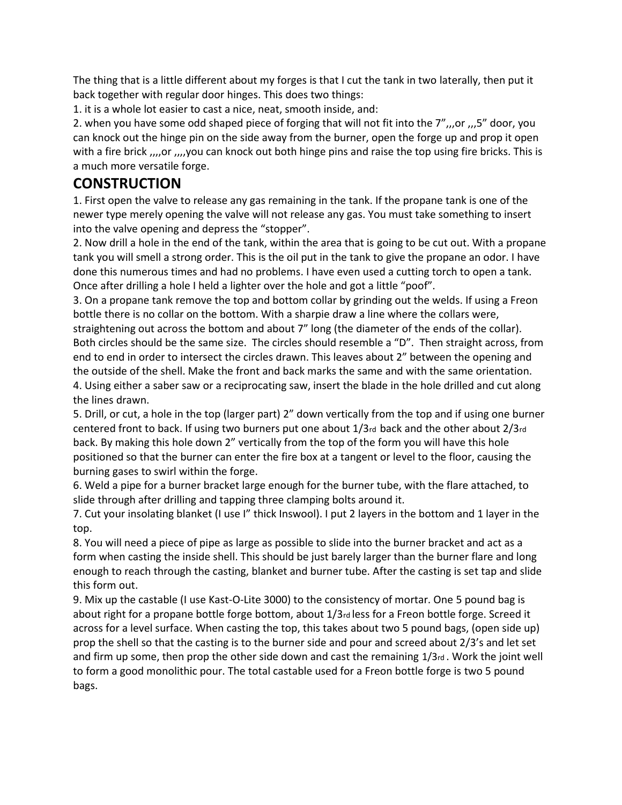The thing that is a little different about my forges is that I cut the tank in two laterally, then put it back together with regular door hinges. This does two things:

1. it is a whole lot easier to cast a nice, neat, smooth inside, and:

2. when you have some odd shaped piece of forging that will not fit into the 7",,,or ,,,5" door, you can knock out the hinge pin on the side away from the burner, open the forge up and prop it open with a fire brick ,,,,or ,,,,you can knock out both hinge pins and raise the top using fire bricks. This is a much more versatile forge.

## **CONSTRUCTION**

1. First open the valve to release any gas remaining in the tank. If the propane tank is one of the newer type merely opening the valve will not release any gas. You must take something to insert into the valve opening and depress the "stopper".

2. Now drill a hole in the end of the tank, within the area that is going to be cut out. With a propane tank you will smell a strong order. This is the oil put in the tank to give the propane an odor. I have done this numerous times and had no problems. I have even used a cutting torch to open a tank. Once after drilling a hole I held a lighter over the hole and got a little "poof".

3. On a propane tank remove the top and bottom collar by grinding out the welds. If using a Freon bottle there is no collar on the bottom. With a sharpie draw a line where the collars were,

straightening out across the bottom and about 7" long (the diameter of the ends of the collar). Both circles should be the same size. The circles should resemble a "D". Then straight across, from end to end in order to intersect the circles drawn. This leaves about 2" between the opening and the outside of the shell. Make the front and back marks the same and with the same orientation. 4. Using either a saber saw or a reciprocating saw, insert the blade in the hole drilled and cut along the lines drawn.

5. Drill, or cut, a hole in the top (larger part) 2" down vertically from the top and if using one burner centered front to back. If using two burners put one about 1/3rd back and the other about 2/3rd back. By making this hole down 2" vertically from the top of the form you will have this hole positioned so that the burner can enter the fire box at a tangent or level to the floor, causing the burning gases to swirl within the forge.

6. Weld a pipe for a burner bracket large enough for the burner tube, with the flare attached, to slide through after drilling and tapping three clamping bolts around it.

7. Cut your insolating blanket (I use I" thick Inswool). I put 2 layers in the bottom and 1 layer in the top.

8. You will need a piece of pipe as large as possible to slide into the burner bracket and act as a form when casting the inside shell. This should be just barely larger than the burner flare and long enough to reach through the casting, blanket and burner tube. After the casting is set tap and slide this form out.

9. Mix up the castable (I use Kast-O-Lite 3000) to the consistency of mortar. One 5 pound bag is about right for a propane bottle forge bottom, about 1/3rd less for a Freon bottle forge. Screed it across for a level surface. When casting the top, this takes about two 5 pound bags, (open side up) prop the shell so that the casting is to the burner side and pour and screed about 2/3's and let set and firm up some, then prop the other side down and cast the remaining 1/3rd . Work the joint well to form a good monolithic pour. The total castable used for a Freon bottle forge is two 5 pound bags.